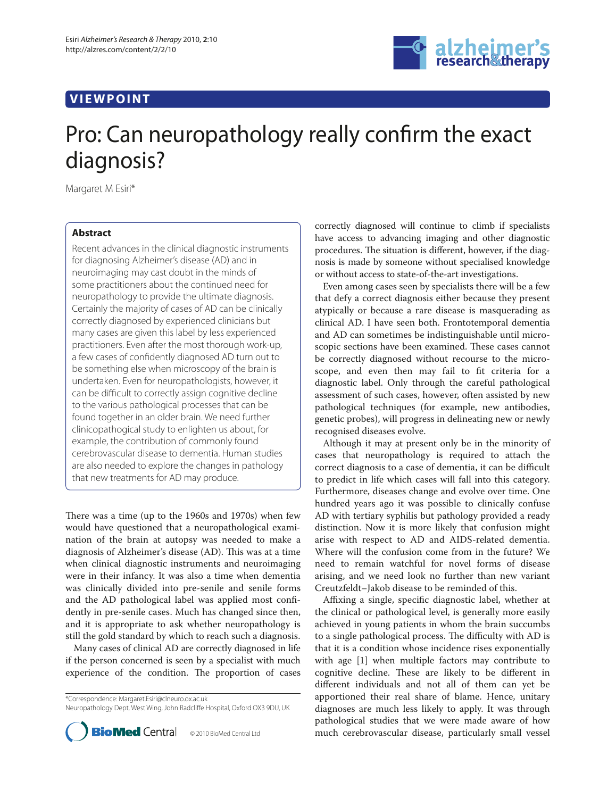## **VIEWPOINT**



# Pro: Can neuropathology really confirm the exact diagnosis?

Margaret M Esiri\*

### **Abstract**

Recent advances in the clinical diagnostic instruments for diagnosing Alzheimer's disease (AD) and in neuroimaging may cast doubt in the minds of some practitioners about the continued need for neuropathology to provide the ultimate diagnosis. Certainly the majority of cases of AD can be clinically correctly diagnosed by experienced clinicians but many cases are given this label by less experienced practitioners. Even after the most thorough work-up, a few cases of confidently diagnosed AD turn out to be something else when microscopy of the brain is undertaken. Even for neuropathologists, however, it can be difficult to correctly assign cognitive decline to the various pathological processes that can be found together in an older brain. We need further clinicopathogical study to enlighten us about, for example, the contribution of commonly found cerebrovascular disease to dementia. Human studies are also needed to explore the changes in pathology that new treatments for AD may produce.

There was a time (up to the 1960s and 1970s) when few would have questioned that a neuropathological examination of the brain at autopsy was needed to make a diagnosis of Alzheimer's disease (AD). This was at a time when clinical diagnostic instruments and neuroimaging were in their infancy. It was also a time when dementia was clinically divided into pre-senile and senile forms and the AD pathological label was applied most confidently in pre-senile cases. Much has changed since then, and it is appropriate to ask whether neuropathology is still the gold standard by which to reach such a diagnosis.

Many cases of clinical AD are correctly diagnosed in life if the person concerned is seen by a specialist with much experience of the condition. The proportion of cases

\*Correspondence: Margaret.Esiri@clneuro.ox.ac.uk

Neuropathology Dept, West Wing, John Radcliffe Hospital, Oxford OX3 9DU, UK



correctly diagnosed will continue to climb if specialists have access to advancing imaging and other diagnostic procedures. The situation is different, however, if the diagnosis is made by someone without specialised knowledge or without access to state-of-the-art investigations.

Even among cases seen by specialists there will be a few that defy a correct diagnosis either because they present atypically or because a rare disease is masquerading as clinical AD. I have seen both. Frontotemporal dementia and AD can sometimes be indistinguishable until microscopic sections have been examined. These cases cannot be correctly diagnosed without recourse to the microscope, and even then may fail to fit criteria for a diagnostic label. Only through the careful pathological assessment of such cases, however, often assisted by new pathological techniques (for example, new antibodies, genetic probes), will progress in delineating new or newly recognised diseases evolve.

Although it may at present only be in the minority of cases that neuropathology is required to attach the correct diagnosis to a case of dementia, it can be difficult to predict in life which cases will fall into this category. Furthermore, diseases change and evolve over time. One hundred years ago it was possible to clinically confuse AD with tertiary syphilis but pathology provided a ready distinction. Now it is more likely that confusion might arise with respect to AD and AIDS-related dementia. Where will the confusion come from in the future? We need to remain watchful for novel forms of disease arising, and we need look no further than new variant Creutzfeldt–Jakob disease to be reminded of this.

Affixing a single, specific diagnostic label, whether at the clinical or pathological level, is generally more easily achieved in young patients in whom the brain succumbs to a single pathological process. The difficulty with AD is that it is a condition whose incidence rises exponentially with age [1] when multiple factors may contribute to cognitive decline. These are likely to be different in different individuals and not all of them can yet be apportioned their real share of blame. Hence, unitary diagnoses are much less likely to apply. It was through pathological studies that we were made aware of how much cerebrovascular disease, particularly small vessel